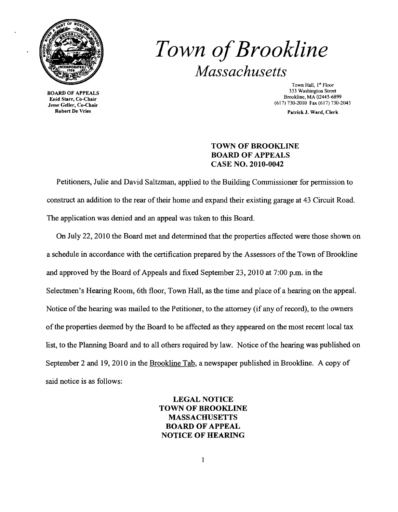

Jesse Geller, Co-Chair<br>Robert De Vries

## *Town ofBrookline Massachusetts*

Town Hall, l<sup>s</sup> Floor 333 Washington Street<br>
833 Washington Street<br>
833 Washington Street<br>
833 Washington Street<br>
833 Washington Street<br>
833 Washington Street<br>
833 Washington Street<br>
833 Washington Street<br>
83445-689 Brookline, MA 02445-6899<br>(617) 730-2010 Fax (617) 730-2043

Patrick J. Ward, Clerk

## TOWN OF BROOKLINE BOARD OF APPEALS CASE NO. 2010-0042

Petitioners, Julie and David Saltzman, applied to the Building Commissioner for permission to construct an addition to the rear of their home and expand their existing garage at 43 Circuit Road. The application was denied and an appeal was taken to this Board.

On July 22,2010 the Board met and determined that the properties affected were those shown on a schedule in accordance with the certification prepared by the Assessors of the Town of Brookline and approved by the Board of Appeals and fixed September 23, 2010 at 7:00 p.m. in the Selectmen's Hearing Room, 6th floor, Town Hall, as the time and place of a hearing on the appeal. Notice of the hearing was mailed to the Petitioner, to the attorney (if any of record), to the owners ofthe properties deemed by the Board to be affected as they appeared on the most recent local tax list, to the Planning Board and to all others required by law. Notice of the hearing was published on September 2 and 19, 2010 in the Brookline Tab, a newspaper published in Brookline. A copy of said notice is as follows:

> LEGAL NOTICE TOWN OF BROOKLINE MASSACHUSETTS BOARD OF APPEAL NOTICE OF HEARING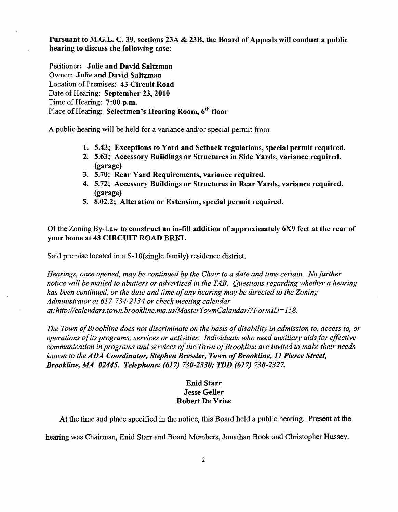Pursuant to M.G.L. C. 39, sections 23A & 23B, the Board of Appeals will conduct a public hearing to discuss the following case:

Petitioner: Julie and David Saltzman Owner: Julie and David Saltzman Location of Premises: 43 Circuit Road Date of Hearing: September 23, 2010 Time of Hearing:  $7:00$  p.m. Place of Hearing: Selectmen's Hearing Room, 6<sup>th</sup> floor

A public hearing will be held for a variance and/or special permit from

- 1. 5.43; Exceptions to Yard and Setback regulations, special permit required.
- 2. 5.63; Accessory Buildings or Structures in Side Yards, variance required. (garage)
- 3. 5.70; Rear Yard Requirements, variance required.
- 4. 5.72; Accessory Buildings or Structures in Rear Yards, variance required. (garage)
- 5. 8.02.2; Alteration or Extension, special permit required.

## Of the Zoning By-Law to construct an in-fill addition of approximately 6X9 feet at the rear of your home at 43 CIRCUIT ROAD BRKL

Said premise located in a S-l O(single family) residence district.

*Hearings, once opened, may be continued by the Chair to a date and time certain. No further notice will be mailed to abutters or advertised in the TAB. Questions regarding whether a hearing has been continued, or the date and time ofany hearing may be directed to the Zoning Administrator at* 617-734-2134 *or check meeting calendar at:http://calendars.town.brookline.ma. uslMasterTownCalandar/?FormID=158.* 

The Town of Brookline does not discriminate on the basis of disability in admission to, access to, or *operations ofits programs, services or activities. Individuals who need auxiliary aids for effective*  communication in programs and services of the Town of Brookline are invited to make their needs *known to the ADA Coordinator, Stephen Bressler, Town of Brookline, 11 Pierce Street, Brookline, MA 02445. Telephone:* (617) *730-2330; TDD* (617) *730-2327.* 

## Enid Starr **Jesse Geller** Robert De Vries

At the time and place specified in the notice, this Board held a public hearing. Present at the

hearing was Chairman, Enid Starr and Board Members, Jonathan Book and Christopher Hussey.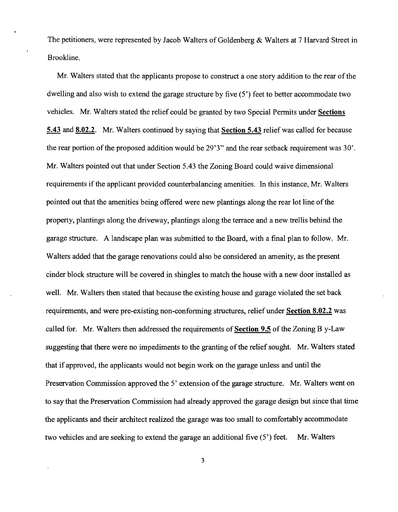The petitioners, were represented by Jacob Walters of Goldenberg & Walters at 7 Harvard Street in Brookline.

Mr. Walters stated that the applicants propose to construct a one story addition to the rear of the dwelling and also wish to extend the garage structure by five (5') feet to better accommodate two vehicles. Mr. Walters stated the relief could be granted by two Special Pennits under Sections 5.43 and 8.02.2. Mr. Walters continued by saying that Section 5.43 relief was called for because the rear portion of the proposed addition would be  $29'3''$  and the rear setback requirement was  $30'$ . Mr. Walters pointed out that under Section 5.43 the Zoning Board could waive dimensional requirements if the applicant provided counterbalancing amenities. In this instance, Mr. Walters pointed out that the amenities being offered were new plantings along the rear lot line of the property, plantings along the driveway, plantings along the terrace and a new trellis behind the garage structure. A landscape plan was submitted to the Board, with a final plan to follow. Mr. Walters added that the garage renovations could also be considered an amenity, as the present cinder block structure will be covered in shingles to match the house with a new door installed as well. Mr. Walters then stated that because the existing house and garage violated the set back requirements, and were pre-existing non-conforming structures, relief under Section 8.02.2 was called for. Mr. Walters then addressed the requirements of Section 9.5 of the Zoning By-Law suggesting that there were no impediments to the granting of the relief sought. Mr. Walters stated that if approved, the applicants would not begin work on the garage unless and until the Preservation Commission approved the 5' extension of the garage structure. Mr. Walters went on to say that the Preservation Commission had already approved the garage design but since that time the applicants and their architect realized the garage was too small to comfortably accommodate two vehicles and are seeking to extend the garage an additional five  $(5')$  feet. Mr. Walters

3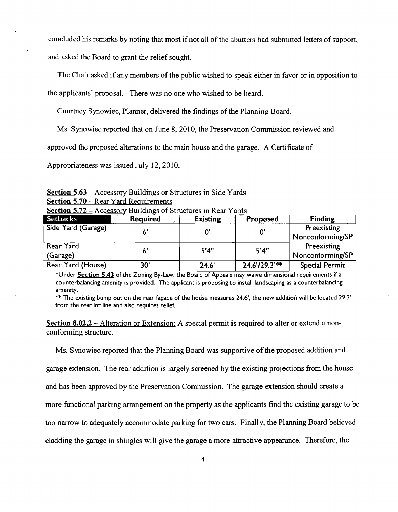concluded his remarks by noting that most if not all of the abutters had submitted letters of support,

and asked the Board to grant the relief sought.

The Chair asked if any members of the public wished to speak either in favor or in opposition to

the applicants' proposal. There was no one who wished to be heard.

Courtney Synowiec, Planner, delivered the findings of the Planning Board.

Ms. Synowiec reported that on June 8, 2010, the Preservation Commission reviewed and

approved the proposed alterations to the main house and the garage. A Certificate of

Appropriateness was issued July 12,2010.

Section 5.63 - Accessory Buildings or Structures in Side Yards Section 5.70 – Rear Yard Requirements

| $\sigma$ because $\sigma$ and $\sigma$ and $\sigma$ is the set of $\sigma$ in the set of $\sigma$ |                 |                 |                |                       |
|---------------------------------------------------------------------------------------------------|-----------------|-----------------|----------------|-----------------------|
| <b>Setbacks</b>                                                                                   | <b>Required</b> | <b>Existing</b> | Proposed       | <b>Finding</b>        |
| Side Yard (Garage)                                                                                |                 |                 |                | Preexisting           |
|                                                                                                   |                 |                 |                | Nonconforming/SP      |
| Rear Yard                                                                                         |                 | 5'4"            | 5'4"           | Preexisting           |
| (Garage)                                                                                          |                 |                 |                | Nonconforming/SP      |
| Rear Yard (House)                                                                                 | 30'             | 24.6'           | $24.6729.3***$ | <b>Special Permit</b> |

Section  $5.72 -$  Accessory Buildings of Structures in Rear Yards

\*Under Section **5.43** of the Zoning By-Law, the Board of Appeals may waive dimensional requirements if a counterbalancing amenity is provided. The applicant is proposing to install landscaping as a counterbalancing amenity.

 $**$  The existing bump out on the rear façade of the house measures 24.6', the new addition will be located 29.3' from the rear lot line and also requires relief.

Section 8.02.2 – Alteration or Extension: A special permit is required to alter or extend a nonconforming structure.

Ms. Synowiec reported that the Planning Board was supportive ofthe proposed addition and garage extension. The rear addition is largely screened by the existing projections from the house and has been approved by the Preservation Commission. The garage extension should create a more functional parking arrangement on the property as the applicants find the existing garage to be too narrow to adequately accommodate parking for two cars. Finally, the Planning Board believed cladding the garage in shingles will give the garage a more attractive appearance. Therefore, the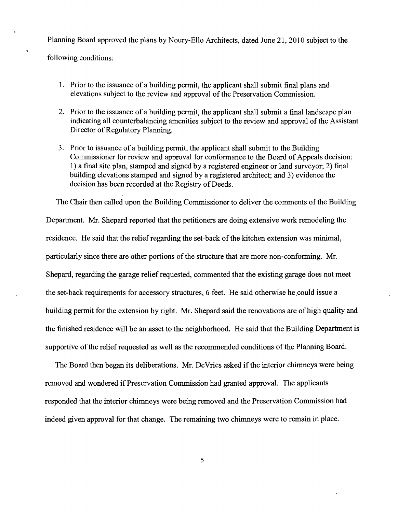Planning Board approved the plans by Noury-Ello Architects, dated June 21, 2010 subject to the following conditions:

- 1. Prior to the issuance of a building permit, the applicant shall submit final plans and elevations subject to the review and approval of the Preservation Commission.
- 2. Prior to the issuance of a building permit, the applicant shall submit a final landscape plan indicating all counterbalancing amenities subject to the review and approval of the Assistant Director of Regulatory Planning.
- 3. Prior to issuance of a building permit, the applicant shall submit to the Building Commissioner for review and approval for conformance to the Board of Appeals decision: 1) a final site plan, stamped and signed by a registered engineer or land surveyor; 2) final building elevations stamped and signed by a registered architect; and 3) evidence the decision has been recorded at the Registry of Deeds.

The Chair then called upon the Building Commissioner to deliver the comments of the Building Department. Mr. Shepard reported that the petitioners are doing extensive work remodeling the residence. He said that the relief regarding the set-back of the kitchen extension was minimal, particularly since there are other portions of the structure that are more non-conforming. Mr. Shepard, regarding the garage relief requested, commented that the existing garage does not meet the set-back requirements for accessory structures, 6 feet. He said otherwise he could issue a building permit for the extension by right. Mr. Shepard said the renovations are of high quality and the finished residence will be an asset to the neighborhood. He said that the Building Department is supportive of the relief requested as well as the recommended conditions of the Planning Board.

The Board then began its deliberations. Mr. DeVries asked if the interior chimneys were being removed and wondered if Preservation Commission had granted approval. The applicants responded that the interior chimneys were being removed and the Preservation Commission had indeed given approval for that change. The remaining two chimneys were to remain in place.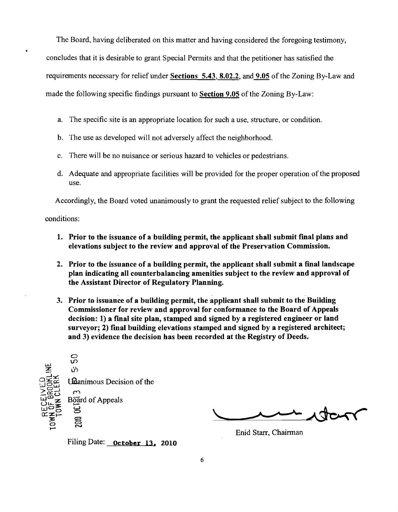The Board, having deliberated on this matter and having considered the foregoing testimony, concludes that it is desirable to grant Special Permits and that the petitioner has satisfied the requirements necessary for relief under Sections 5.43, 8.02.2, and 9.05 of the Zoning By-Law and made the following specific findings pursuant to Section 9.05 of the Zoning By-Law:

- a. The specific site is an appropriate location for such a use, structure, or condition.
- b. The use as developed will not adversely affect the neighborhood.
- c. There will be no nuisance or serious hazard to vehicles or pedestrians.
- d. Adequate and appropriate facilities will be provided for the proper operation of the proposed use.

Accordingly, the Board voted unanimously to grant the requested relief subject to the following

conditions:

- 1. Prior to the issuance of a building permit, the applicant shall submit final plans and elevations subject to the review and approval of the Preservation Commission.
- 2. Prior to the issuance of a building permit, the applicant shall submit a final landscape plan indicating all counterbalancing amenities subject to the review and approval of the Assistant Director of Regulatory Planning.
- 3. Prior to issuance of a building permit, the applicant shall submit to the Building Commissioner for review and approval for conformance to the Board of Appeals decision: 1) a fmal site plan, stamped and signed by a registered engineer or land surveyor; 2) fmal building elevations stamped and signed by a registered architect; and 3) evidence the decision has been recorded at the Registry of Deeds.



JCLTY

Enid Starr, Chairman

Filing Date: October 13, 2010